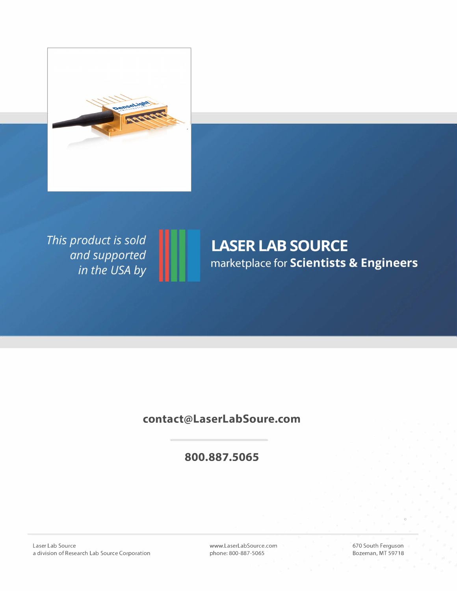

This product is sold and supported<br>in the USA by

# **LASER LAB SOURCE** marketplace for Scientists & Engineers

### **contact@LaserLabSoure.com**

## **800.887 .5065**

Laser Lab Source a division of Research Lab Source Corporation www.LaserLabSource.com phone: 800-887-5065

670 South Ferguson Bozeman, MT 59718

 $^{\circ}$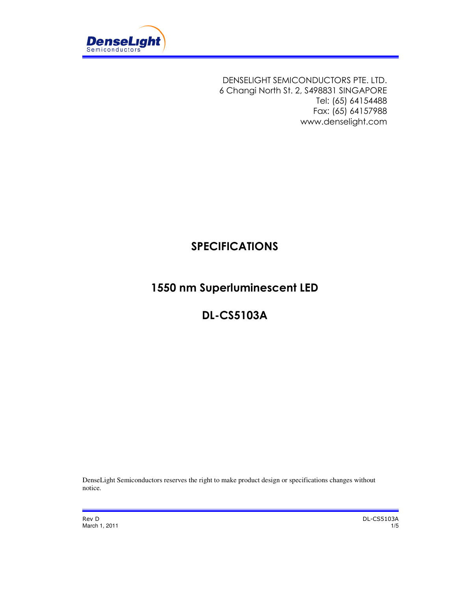

DENSELIGHT SEMICONDUCTORS PTE. LTD. 6 Changi North St. 2, S498831 SINGAPORE Tel: (65) 64154488 Fax: (65) 64157988 www.denselight.com

# SPECIFICATIONS

# 1550 nm Superluminescent LED

# DL-CS5103A

DenseLight Semiconductors reserves the right to make product design or specifications changes without notice.

Rev D DL-CS5103A March 1, 2011 1/5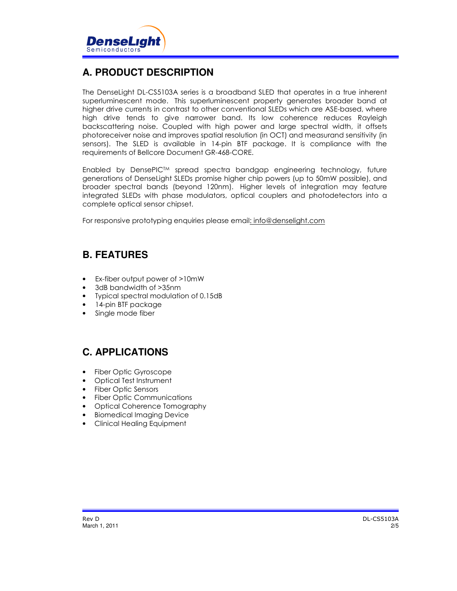

## **A. PRODUCT DESCRIPTION**

The DenseLight DL-CS5103A series is a broadband SLED that operates in a true inherent superluminescent mode. This superluminescent property generates broader band at higher drive currents in contrast to other conventional SLEDs which are ASE-based, where high drive tends to give narrower band. Its low coherence reduces Rayleigh backscattering noise. Coupled with high power and large spectral width, it offsets photoreceiver noise and improves spatial resolution (in OCT) and measurand sensitivity (in sensors). The SLED is available in 14-pin BTF package. It is compliance with the requirements of Bellcore Document GR-468-CORE.

Enabled by DensePIC<sup>TM</sup> spread spectra bandgap engineering technology, future generations of DenseLight SLEDs promise higher chip powers (up to 50mW possible), and broader spectral bands (beyond 120nm). Higher levels of integration may feature integrated SLEDs with phase modulators, optical couplers and photodetectors into a complete optical sensor chipset.

For responsive prototyping enquiries please email: info@denselight.com

#### **B. FEATURES**

- Ex-fiber output power of >10mW
- 3dB bandwidth of >35nm
- Typical spectral modulation of 0.15dB
- 14-pin BTF package
- Single mode fiber

#### **C. APPLICATIONS**

- Fiber Optic Gyroscope
- Optical Test Instrument
- Fiber Optic Sensors
- Fiber Optic Communications
- Optical Coherence Tomography
- Biomedical Imaging Device
- Clinical Healing Equipment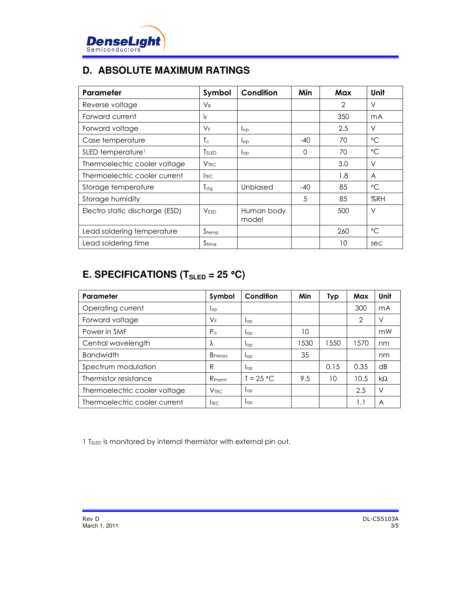

## **D. ABSOLUTE MAXIMUM RATINGS**

| Parameter                      | Symbol            | Condition           | Min   | Max | Unit            |
|--------------------------------|-------------------|---------------------|-------|-----|-----------------|
| Reverse voltage                | $V_{R}$           |                     |       | 2   | $\vee$          |
| Forward current                | IF                |                     |       | 350 | mA              |
| Forward voltage                | $V_F$             | lop                 |       | 2.5 | V               |
| Case temperature               | Tс                | $\log$              | $-40$ | 70  | $^{\circ}C$     |
| SLED temperature <sup>1</sup>  | <b>T</b> SLED     | $\log$              | 0     | 70  | $\rm ^{\circ}C$ |
| Thermoelectric cooler voltage  | V <sub>TFC</sub>  |                     |       | 3.0 | V               |
| Thermoelectric cooler current  | <b>ITEC</b>       |                     |       | 1.8 | $\overline{A}$  |
| Storage temperature            | $T_{\text{stg}}$  | Unbiased            | $-40$ | 85  | $^{\circ}C$     |
| Storage humidity               |                   |                     | 5     | 85  | %RH             |
| Electro static discharge (ESD) | <b>VESD</b>       | Human body<br>model |       | 500 | V               |
| Lead soldering temperature     | Stemp             |                     |       | 260 | $^{\circ}C$     |
| Lead soldering time            | S <sub>time</sub> |                     |       | 10  | sec             |

# **E. SPECIFICATIONS (TSLED = 25** °**C)**

| Parameter                     | Symbol                   | Condition   | Min  | Typ  | Max  | Unit            |
|-------------------------------|--------------------------|-------------|------|------|------|-----------------|
| Operating current             | lop                      |             |      |      | 300  | mA              |
| Forward voltage               | $\mathsf{V}_\mathsf{F}$  | lop         |      |      | 2    | V               |
| Power in SMF                  | $P_{\odot}$              | $I_{OD}$    | 10   |      |      | mW              |
| Central wavelength            | λ                        | lop         | 1530 | 1550 | 1570 | nm              |
| <b>Bandwidth</b>              | <b>B</b> <sub>FWHM</sub> | lop         | 35   |      |      | nm              |
| Spectrum modulation           | R                        | lop         |      | 0.15 | 0.35 | $\overline{AB}$ |
| Thermistor resistance         | $R_{\text{therm}}$       | $T = 25 °C$ | 9.5  | 10   | 10.5 | $k\Omega$       |
| Thermoelectric cooler voltage | V <sub>TFC</sub>         | lop         |      |      | 2.5  | V               |
| Thermoelectric cooler current | <b>ITEC</b>              | lop         |      |      | 1.1  | A               |

1 TSLED is monitored by internal thermistor with external pin out.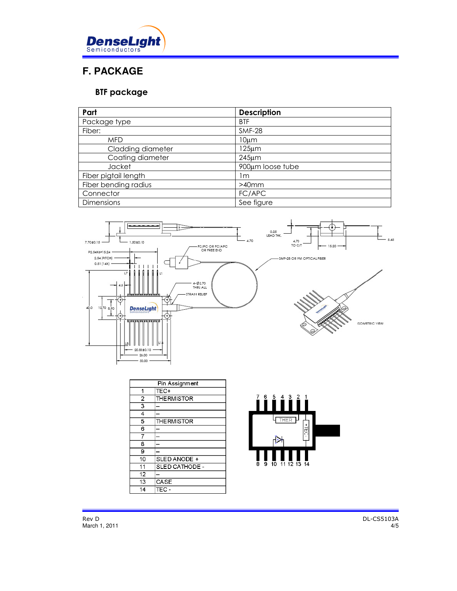

# **F. PACKAGE**

#### BTF package

| Part                 | <b>Description</b> |
|----------------------|--------------------|
| Package type         | <b>BTF</b>         |
| Fiber:               | <b>SMF-28</b>      |
| <b>MFD</b>           | 10µm               |
| Cladding diameter    | 125µm              |
| Coating diameter     | $245 \mu m$        |
| Jacket               | 900µm loose tube   |
| Fiber pigtail length | l m                |
| Fiber bending radius | $>40$ mm           |
| Connector            | FC/APC             |
| Dimensions           | See figure         |



| Pin Assignment          |                    |
|-------------------------|--------------------|
| 1                       | TEC+               |
| $\overline{2}$          | THERMISTOR         |
| $\overline{\mathbf{3}}$ |                    |
| 4                       |                    |
| 5                       | <b>THE RMISTOR</b> |
| 6                       |                    |
|                         |                    |
| 8                       |                    |
| 9                       |                    |
| 10                      | SLED ANODE +       |
| 11                      | SLED CATHODE -     |
| 12                      |                    |
| 13                      | CASE               |
| 14                      | TEC-               |
|                         |                    |